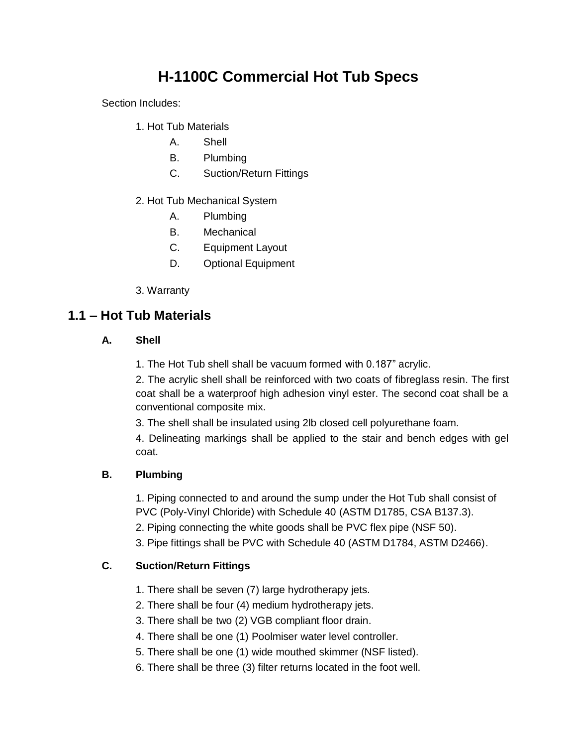# **H-1100C Commercial Hot Tub Specs**

Section Includes:

- 1. Hot Tub Materials
	- A. Shell
	- B. Plumbing
	- C. Suction/Return Fittings
- 2. Hot Tub Mechanical System
	- A. Plumbing
	- B. Mechanical
	- C. Equipment Layout
	- D. Optional Equipment
- 3. Warranty

## **1.1 – Hot Tub Materials**

#### **A. Shell**

1. The Hot Tub shell shall be vacuum formed with 0.187" acrylic.

2. The acrylic shell shall be reinforced with two coats of fibreglass resin. The first coat shall be a waterproof high adhesion vinyl ester. The second coat shall be a conventional composite mix.

3. The shell shall be insulated using 2lb closed cell polyurethane foam.

4. Delineating markings shall be applied to the stair and bench edges with gel coat.

#### **B. Plumbing**

1. Piping connected to and around the sump under the Hot Tub shall consist of PVC (Poly-Vinyl Chloride) with Schedule 40 (ASTM D1785, CSA B137.3).

2. Piping connecting the white goods shall be PVC flex pipe (NSF 50).

3. Pipe fittings shall be PVC with Schedule 40 (ASTM D1784, ASTM D2466).

#### **C. Suction/Return Fittings**

- 1. There shall be seven (7) large hydrotherapy jets.
- 2. There shall be four (4) medium hydrotherapy jets.
- 3. There shall be two (2) VGB compliant floor drain.
- 4. There shall be one (1) Poolmiser water level controller.
- 5. There shall be one (1) wide mouthed skimmer (NSF listed).
- 6. There shall be three (3) filter returns located in the foot well.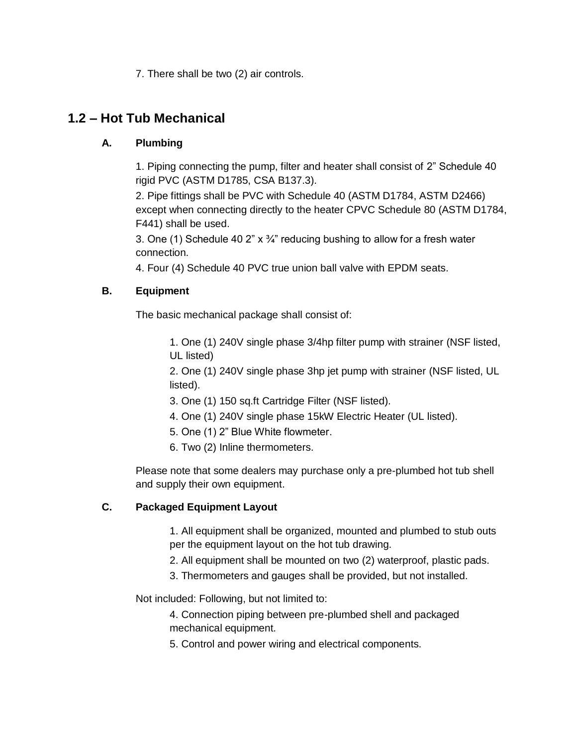7. There shall be two (2) air controls.

## **1.2 – Hot Tub Mechanical**

### **A. Plumbing**

1. Piping connecting the pump, filter and heater shall consist of 2" Schedule 40 rigid PVC (ASTM D1785, CSA B137.3).

2. Pipe fittings shall be PVC with Schedule 40 (ASTM D1784, ASTM D2466) except when connecting directly to the heater CPVC Schedule 80 (ASTM D1784, F441) shall be used.

3. One (1) Schedule 40 2"  $\times$   $\frac{3}{4}$ " reducing bushing to allow for a fresh water connection.

4. Four (4) Schedule 40 PVC true union ball valve with EPDM seats.

#### **B. Equipment**

The basic mechanical package shall consist of:

1. One (1) 240V single phase 3/4hp filter pump with strainer (NSF listed, UL listed)

2. One (1) 240V single phase 3hp jet pump with strainer (NSF listed, UL listed).

- 3. One (1) 150 sq.ft Cartridge Filter (NSF listed).
- 4. One (1) 240V single phase 15kW Electric Heater (UL listed).
- 5. One (1) 2" Blue White flowmeter.
- 6. Two (2) Inline thermometers.

Please note that some dealers may purchase only a pre-plumbed hot tub shell and supply their own equipment.

#### **C. Packaged Equipment Layout**

1. All equipment shall be organized, mounted and plumbed to stub outs per the equipment layout on the hot tub drawing.

- 2. All equipment shall be mounted on two (2) waterproof, plastic pads.
- 3. Thermometers and gauges shall be provided, but not installed.

Not included: Following, but not limited to:

4. Connection piping between pre-plumbed shell and packaged mechanical equipment.

5. Control and power wiring and electrical components.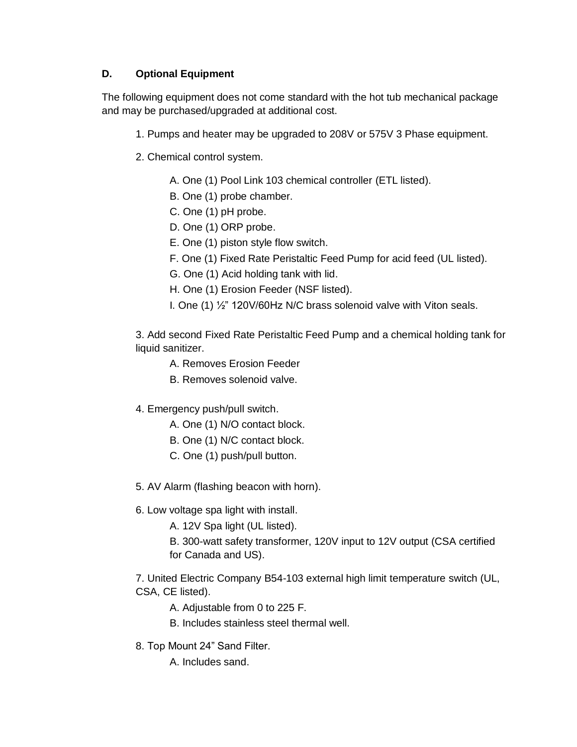### **D. Optional Equipment**

The following equipment does not come standard with the hot tub mechanical package and may be purchased/upgraded at additional cost.

- 1. Pumps and heater may be upgraded to 208V or 575V 3 Phase equipment.
- 2. Chemical control system.
	- A. One (1) Pool Link 103 chemical controller (ETL listed).
	- B. One (1) probe chamber.
	- C. One (1) pH probe.
	- D. One (1) ORP probe.
	- E. One (1) piston style flow switch.
	- F. One (1) Fixed Rate Peristaltic Feed Pump for acid feed (UL listed).
	- G. One (1) Acid holding tank with lid.
	- H. One (1) Erosion Feeder (NSF listed).
	- I. One (1) ½" 120V/60Hz N/C brass solenoid valve with Viton seals.

3. Add second Fixed Rate Peristaltic Feed Pump and a chemical holding tank for liquid sanitizer.

- A. Removes Erosion Feeder
- B. Removes solenoid valve.
- 4. Emergency push/pull switch.
	- A. One (1) N/O contact block.
	- B. One (1) N/C contact block.
	- C. One (1) push/pull button.
- 5. AV Alarm (flashing beacon with horn).
- 6. Low voltage spa light with install.
	- A. 12V Spa light (UL listed).
	- B. 300-watt safety transformer, 120V input to 12V output (CSA certified for Canada and US).

7. United Electric Company B54-103 external high limit temperature switch (UL, CSA, CE listed).

- A. Adjustable from 0 to 225 F.
- B. Includes stainless steel thermal well.
- 8. Top Mount 24" Sand Filter.
	- A. Includes sand.